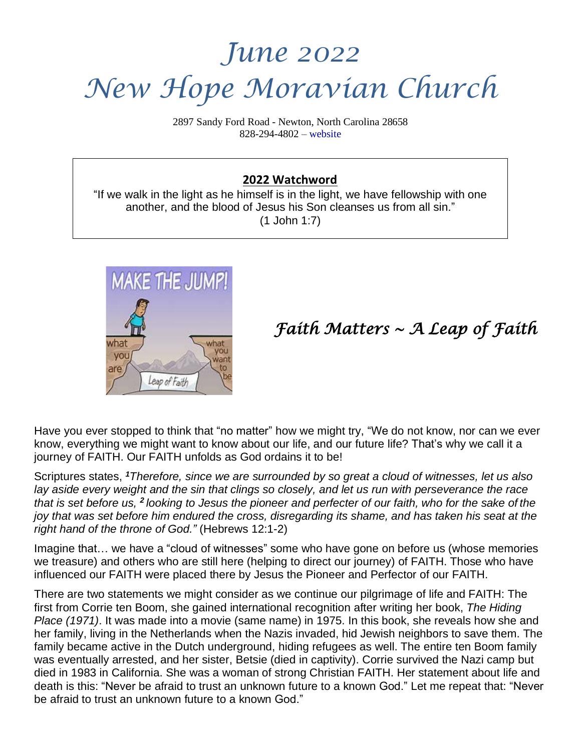# *June 2022 New Hope Moravian Church*

2897 Sandy Ford Road - Newton, North Carolina 28658 828-294-4802 – [website](http://www.newhopemoravian.org/)

#### **2022 Watchword**

"If we walk in the light as he himself is in the light, we have fellowship with one another, and the blood of Jesus his Son cleanses us from all sin." (1 John 1:7)



### *Faith Matters ~ A Leap of Faith*

Have you ever stopped to think that "no matter" how we might try, "We do not know, nor can we ever know, everything we might want to know about our life, and our future life? That's why we call it a journey of FAITH. Our FAITH unfolds as God ordains it to be!

Scriptures states, *<sup>1</sup>Therefore, since we are surrounded by so great a cloud of witnesses, let us also* lay aside every weight and the sin that clings so closely, and let us run with perseverance the race that is set before us, <sup>2</sup> looking to Jesus the pioneer and perfecter of our faith, who for the sake of the iov that was set before him endured the cross, disregarding its shame, and has taken his seat at the *right hand of the throne of God."* (Hebrews 12:1-2)

Imagine that… we have a "cloud of witnesses" some who have gone on before us (whose memories we treasure) and others who are still here (helping to direct our journey) of FAITH. Those who have influenced our FAITH were placed there by Jesus the Pioneer and Perfector of our FAITH.

There are two statements we might consider as we continue our pilgrimage of life and FAITH: The first from Corrie ten Boom, she gained international recognition after writing her book, *The Hiding Place (1971)*. It was made into a movie (same name) in 1975. In this book, she reveals how she and her family, living in the Netherlands when the Nazis invaded, hid Jewish neighbors to save them. The family became active in the Dutch underground, hiding refugees as well. The entire ten Boom family was eventually arrested, and her sister, Betsie (died in captivity). Corrie survived the Nazi camp but died in 1983 in California. She was a woman of strong Christian FAITH. Her statement about life and death is this: "Never be afraid to trust an unknown future to a known God." Let me repeat that: "Never be afraid to trust an unknown future to a known God."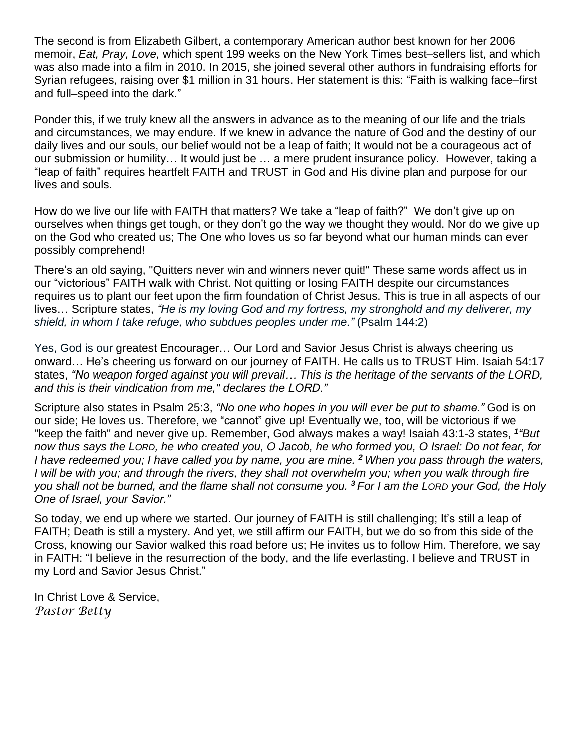The second is from Elizabeth Gilbert, a contemporary American author best known for her 2006 memoir, *Eat, Pray, Love,* which spent 199 weeks on the New York Times best–sellers list, and which was also made into a film in 2010. In 2015, she joined several other authors in fundraising efforts for Syrian refugees, raising over \$1 million in 31 hours. Her statement is this: "Faith is walking face–first and full–speed into the dark."

Ponder this, if we truly knew all the answers in advance as to the meaning of our life and the trials and circumstances, we may endure. If we knew in advance the nature of God and the destiny of our daily lives and our souls, our belief would not be a leap of faith; It would not be a courageous act of our submission or humility… It would just be … a mere prudent insurance policy. However, taking a "leap of faith" requires heartfelt FAITH and TRUST in God and His divine plan and purpose for our lives and souls.

How do we live our life with FAITH that matters? We take a "leap of faith?" We don't give up on ourselves when things get tough, or they don't go the way we thought they would. Nor do we give up on the God who created us; The One who loves us so far beyond what our human minds can ever possibly comprehend!

There's an old saying, "Quitters never win and winners never quit!" These same words affect us in our "victorious" FAITH walk with Christ. Not quitting or losing FAITH despite our circumstances requires us to plant our feet upon the firm foundation of Christ Jesus. This is true in all aspects of our lives… Scripture states, *"He is my loving God and my fortress, my stronghold and my deliverer, my shield, in whom I take refuge, who subdues peoples under me."* (Psalm 144:2)

Yes, God is our greatest Encourager… Our Lord and Savior Jesus Christ is always cheering us onward… He's cheering us forward on our journey of FAITH. He calls us to TRUST Him. Isaiah 54:17 states, *"No weapon forged against you will prevail… This is the heritage of the servants of the LORD, and this is their vindication from me," declares the LORD."*

Scripture also states in Psalm 25:3, *"No one who hopes in you will ever be put to shame."* God is on our side; He loves us. Therefore, we "cannot" give up! Eventually we, too, will be victorious if we "keep the faith" and never give up. Remember, God always makes a way! Isaiah 43:1-3 states, *<sup>1</sup> "But* now thus says the LORD, he who created you, O Jacob, he who formed you, O Israel: Do not fear, for I have redeemed you; I have called you by name, you are mine. <sup>2</sup> When you pass through the waters, I will be with you; and through the rivers, they shall not overwhelm you; when you walk through fire you shall not be burned, and the flame shall not consume you, <sup>3</sup> For I am the LORD your God, the Holy *One of Israel, your Savior."*

So today, we end up where we started. Our journey of FAITH is still challenging; It's still a leap of FAITH; Death is still a mystery. And yet, we still affirm our FAITH, but we do so from this side of the Cross, knowing our Savior walked this road before us; He invites us to follow Him. Therefore, we say in FAITH: "I believe in the resurrection of the body, and the life everlasting. I believe and TRUST in my Lord and Savior Jesus Christ."

In Christ Love & Service, *Pastor Betty*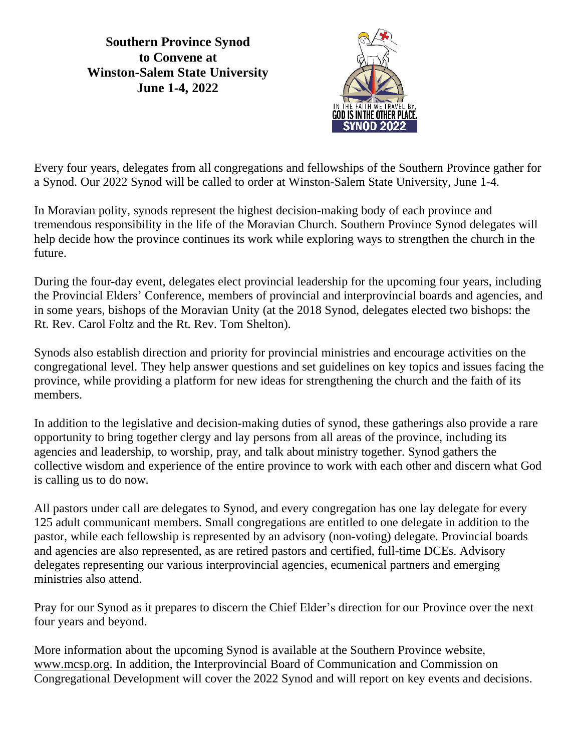**Southern Province Synod to Convene at Winston-Salem State University June 1-4, 2022**



Every four years, delegates from all congregations and fellowships of the Southern Province gather for a Synod. Our 2022 Synod will be called to order at Winston-Salem State University, June 1-4.

In Moravian polity, synods represent the highest decision-making body of each province and tremendous responsibility in the life of the Moravian Church. Southern Province Synod delegates will help decide how the province continues its work while exploring ways to strengthen the church in the future.

During the four-day event, delegates elect provincial leadership for the upcoming four years, including the Provincial Elders' Conference, members of provincial and interprovincial boards and agencies, and in some years, bishops of the Moravian Unity (at the 2018 Synod, delegates elected two bishops: the Rt. Rev. Carol Foltz and the Rt. Rev. Tom Shelton).

Synods also establish direction and priority for provincial ministries and encourage activities on the congregational level. They help answer questions and set guidelines on key topics and issues facing the province, while providing a platform for new ideas for strengthening the church and the faith of its members.

In addition to the legislative and decision-making duties of synod, these gatherings also provide a rare opportunity to bring together clergy and lay persons from all areas of the province, including its agencies and leadership, to worship, pray, and talk about ministry together. Synod gathers the collective wisdom and experience of the entire province to work with each other and discern what God is calling us to do now.

All pastors under call are delegates to Synod, and every congregation has one lay delegate for every 125 adult communicant members. Small congregations are entitled to one delegate in addition to the pastor, while each fellowship is represented by an advisory (non-voting) delegate. Provincial boards and agencies are also represented, as are retired pastors and certified, full-time DCEs. Advisory delegates representing our various interprovincial agencies, ecumenical partners and emerging ministries also attend.

Pray for our Synod as it prepares to discern the Chief Elder's direction for our Province over the next four years and beyond.

More information about the upcoming Synod is available at the Southern Province website, [www.mcsp.org.](http://www.mcsp.org/) In addition, the Interprovincial Board of Communication and Commission on Congregational Development will cover the 2022 Synod and will report on key events and decisions.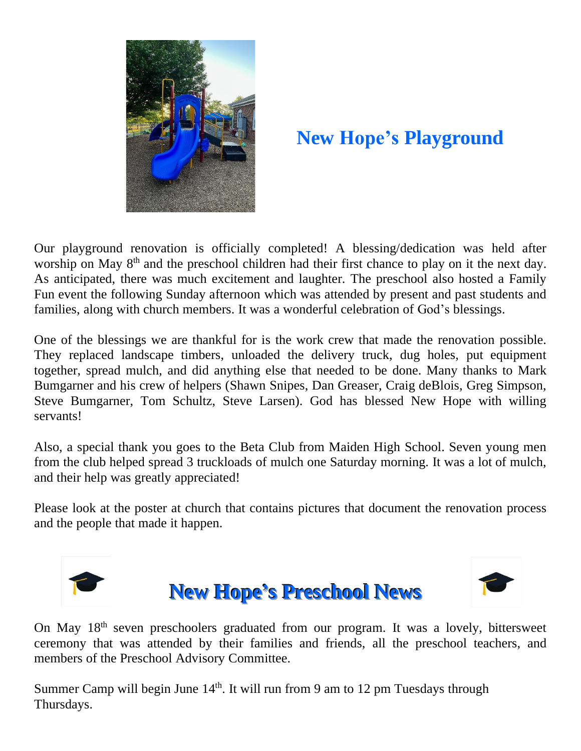

### **New Hope's Playground**

Our playground renovation is officially completed! A blessing/dedication was held after worship on May 8<sup>th</sup> and the preschool children had their first chance to play on it the next day. As anticipated, there was much excitement and laughter. The preschool also hosted a Family Fun event the following Sunday afternoon which was attended by present and past students and families, along with church members. It was a wonderful celebration of God's blessings.

One of the blessings we are thankful for is the work crew that made the renovation possible. They replaced landscape timbers, unloaded the delivery truck, dug holes, put equipment together, spread mulch, and did anything else that needed to be done. Many thanks to Mark Bumgarner and his crew of helpers (Shawn Snipes, Dan Greaser, Craig deBlois, Greg Simpson, Steve Bumgarner, Tom Schultz, Steve Larsen). God has blessed New Hope with willing servants!

Also, a special thank you goes to the Beta Club from Maiden High School. Seven young men from the club helped spread 3 truckloads of mulch one Saturday morning. It was a lot of mulch, and their help was greatly appreciated!

Please look at the poster at church that contains pictures that document the renovation process and the people that made it happen.







On May 18<sup>th</sup> seven preschoolers graduated from our program. It was a lovely, bittersweet ceremony that was attended by their families and friends, all the preschool teachers, and members of the Preschool Advisory Committee.

Summer Camp will begin June 14<sup>th</sup>. It will run from 9 am to 12 pm Tuesdays through Thursdays.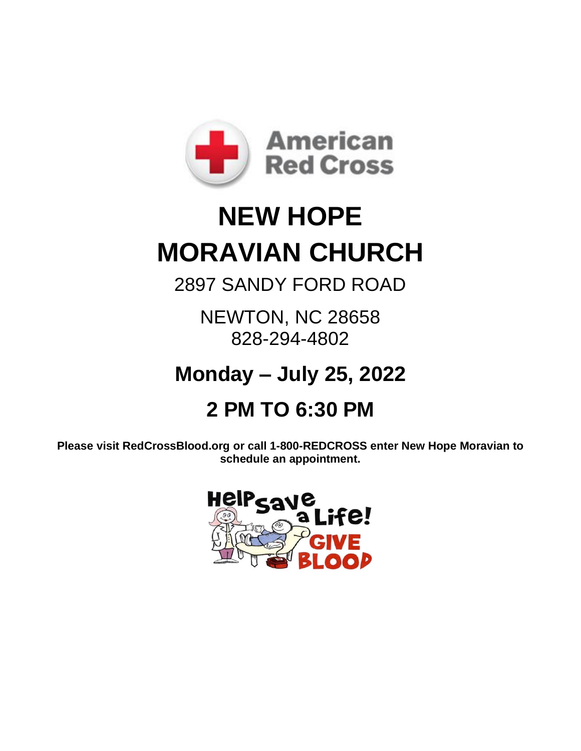

# **NEW HOPE MORAVIAN CHURCH**

2897 SANDY FORD ROAD

NEWTON, NC 28658 828-294-4802

## **Monday – July 25, 2022**

## **2 PM TO 6:30 PM**

**Please visit RedCrossBlood.org or call 1-800-REDCROSS enter New Hope Moravian to schedule an appointment.**

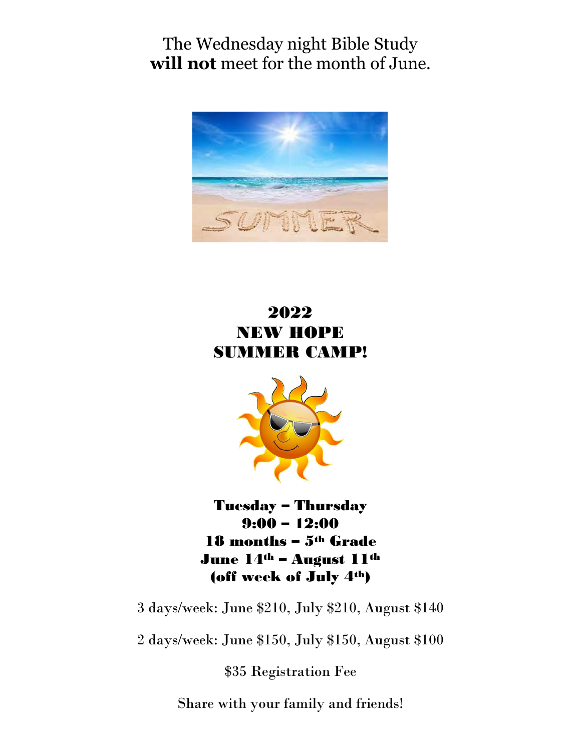The Wednesday night Bible Study **will not** meet for the month of June.



#### 2022 NEW HOPE SUMMER CAMP!



Tuesday – Thursday 9:00 – 12:00 18 months – 5th Grade June 14<sup>th</sup> – August 11<sup>th</sup> (off week of July 4th)

3 days/week: June \$210, July \$210, August \$140

2 days/week: June \$150, July \$150, August \$100

\$35 Registration Fee

Share with your family and friends!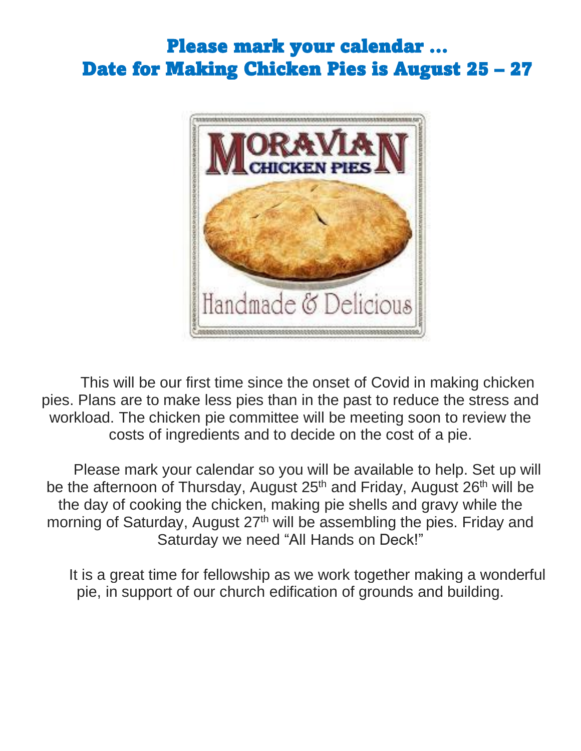## Please mark your calendar … Date for Making Chicken Pies is August 25 – 27



This will be our first time since the onset of Covid in making chicken pies. Plans are to make less pies than in the past to reduce the stress and workload. The chicken pie committee will be meeting soon to review the costs of ingredients and to decide on the cost of a pie.

Please mark your calendar so you will be available to help. Set up will be the afternoon of Thursday, August 25<sup>th</sup> and Friday, August 26<sup>th</sup> will be the day of cooking the chicken, making pie shells and gravy while the morning of Saturday, August 27<sup>th</sup> will be assembling the pies. Friday and Saturday we need "All Hands on Deck!"

It is a great time for fellowship as we work together making a wonderful pie, in support of our church edification of grounds and building.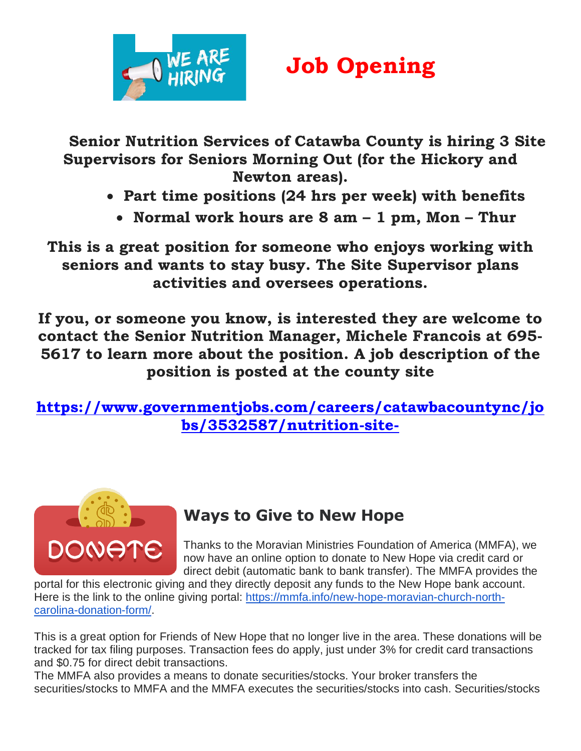

# **Job Opening**

**Senior Nutrition Services of Catawba County is hiring 3 Site Supervisors for Seniors Morning Out (for the Hickory and Newton areas).**

- **Part time positions (24 hrs per week) with benefits**
	- **Normal work hours are 8 am – 1 pm, Mon – Thur**

**This is a great position for someone who enjoys working with seniors and wants to stay busy. The Site Supervisor plans activities and oversees operations.**

**If you, or someone you know, is interested they are welcome to contact the Senior Nutrition Manager, Michele Francois at 695- 5617 to learn more about the position. A job description of the position is posted at the county site**

**[https://www.governmentjobs.com/careers/catawbacountync/jo](https://www.governmentjobs.com/careers/catawbacountync/jobs/3532587/nutrition-site-supervisor?page=2&pagetype=jobOpportunitiesJobs) [bs/3532587/nutrition-site-](https://www.governmentjobs.com/careers/catawbacountync/jobs/3532587/nutrition-site-supervisor?page=2&pagetype=jobOpportunitiesJobs)**



#### **Ways to Give to New Hope**

Thanks to the Moravian Ministries Foundation of America (MMFA), we now have an online option to donate to New Hope via credit card or direct debit (automatic bank to bank transfer). The MMFA provides the

portal for this electronic giving and they directly deposit any funds to the New Hope bank account. Here is the link to the online giving portal: [https://mmfa.info/new-hope-moravian-church-north](https://mmfa.info/new-hope-moravian-church-north-carolina-donation-form/)[carolina-donation-form/.](https://mmfa.info/new-hope-moravian-church-north-carolina-donation-form/)

This is a great option for Friends of New Hope that no longer live in the area. These donations will be tracked for tax filing purposes. Transaction fees do apply, just under 3% for credit card transactions and \$0.75 for direct debit transactions.

The MMFA also provides a means to donate securities/stocks. Your broker transfers the securities/stocks to MMFA and the MMFA executes the securities/stocks into cash. Securities/stocks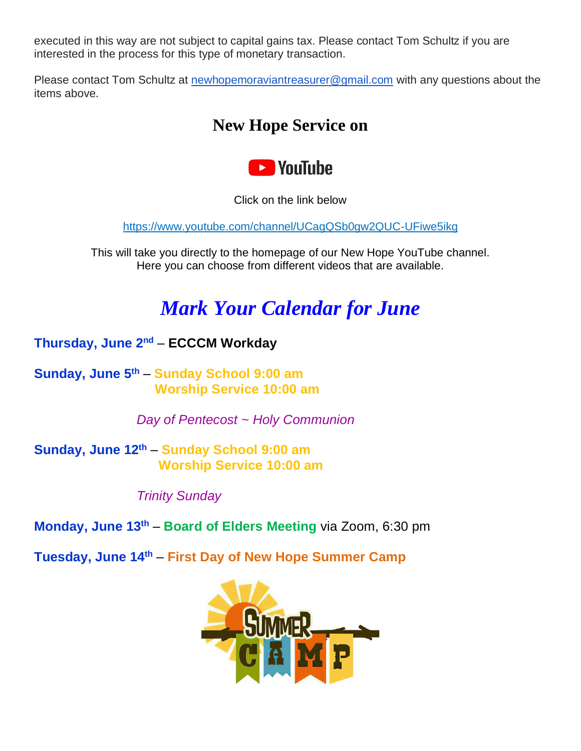executed in this way are not subject to capital gains tax. Please contact Tom Schultz if you are interested in the process for this type of monetary transaction.

Please contact Tom Schultz at [newhopemoraviantreasurer@gmail.com](mailto:newhopemoraviantreasurer@gmail.com) with any questions about the items above.

#### **New Hope Service on**



Click on the link below

<https://www.youtube.com/channel/UCagQSb0gw2QUC-UFiwe5ikg>

This will take you directly to the homepage of our New Hope YouTube channel. Here you can choose from different videos that are available.

## *Mark Your Calendar for June*

**Thursday, June 2 nd** – **ECCCM Workday**

**Sunday, June 5 th** – **Sunday School 9:00 am Worship Service 10:00 am**

*Day of Pentecost ~ Holy Communion*

**Sunday, June 12th** – **Sunday School 9:00 am Worship Service 10:00 am**

*Trinity Sunday*

**Monday, June 13th** – **Board of Elders Meeting** via Zoom, 6:30 pm

**Tuesday, June 14 th** – **First Day of New Hope Summer Camp**

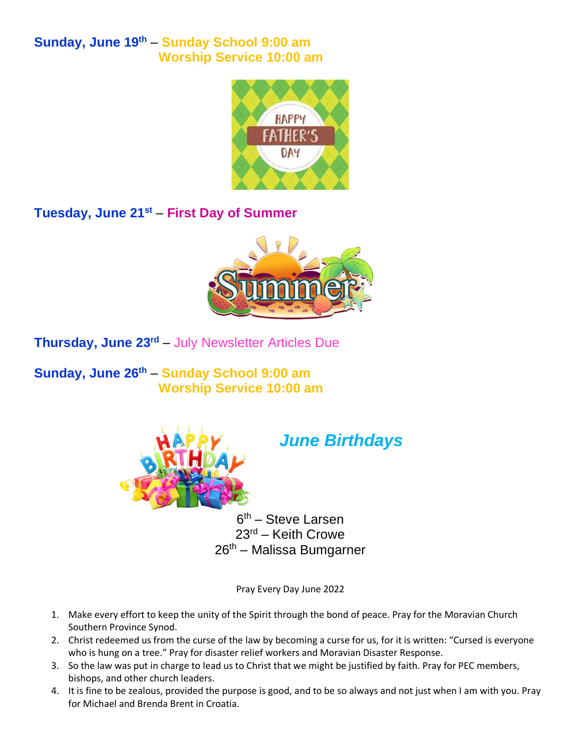**Sunday, June 19th** – **Sunday School 9:00 am Worship Service 10:00 am**



**Tuesday, June 21st** – **First Day of Summer**



**Thursday, June 23rd** – July Newsletter Articles Due

**Sunday, June 26 th** – **Sunday School 9:00 am Worship Service 10:00 am**



#### *June Birthdays*

6<sup>th</sup> – Steve Larsen 23rd – Keith Crowe 26th – Malissa Bumgarner

Pray Every Day June 2022

- 1. Make every effort to keep the unity of the Spirit through the bond of peace. Pray for the Moravian Church Southern Province Synod.
- 2. Christ redeemed us from the curse of the law by becoming a curse for us, for it is written: "Cursed is everyone who is hung on a tree." Pray for disaster relief workers and Moravian Disaster Response.
- 3. So the law was put in charge to lead us to Christ that we might be justified by faith. Pray for PEC members, bishops, and other church leaders.
- 4. It is fine to be zealous, provided the purpose is good, and to be so always and not just when I am with you. Pray for Michael and Brenda Brent in Croatia.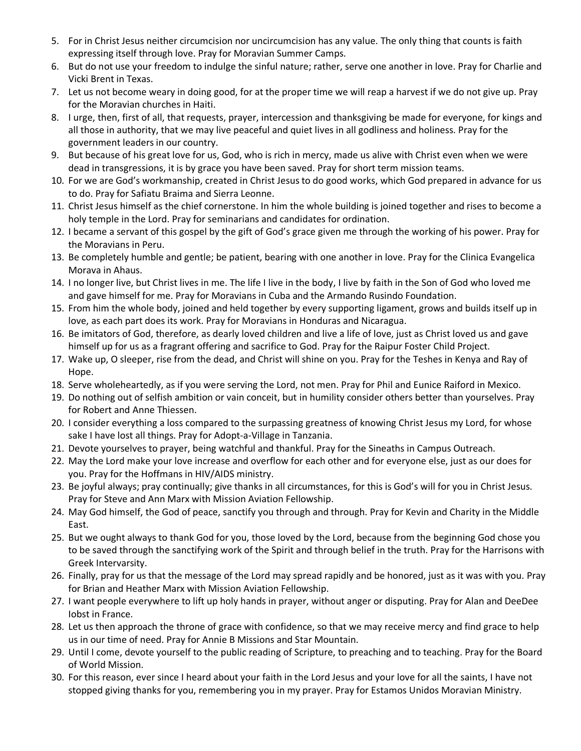- 5. For in Christ Jesus neither circumcision nor uncircumcision has any value. The only thing that counts is faith expressing itself through love. Pray for Moravian Summer Camps.
- 6. But do not use your freedom to indulge the sinful nature; rather, serve one another in love. Pray for Charlie and Vicki Brent in Texas.
- 7. Let us not become weary in doing good, for at the proper time we will reap a harvest if we do not give up. Pray for the Moravian churches in Haiti.
- 8. I urge, then, first of all, that requests, prayer, intercession and thanksgiving be made for everyone, for kings and all those in authority, that we may live peaceful and quiet lives in all godliness and holiness. Pray for the government leaders in our country.
- 9. But because of his great love for us, God, who is rich in mercy, made us alive with Christ even when we were dead in transgressions, it is by grace you have been saved. Pray for short term mission teams.
- 10. For we are God's workmanship, created in Christ Jesus to do good works, which God prepared in advance for us to do. Pray for Safiatu Braima and Sierra Leonne.
- 11. Christ Jesus himself as the chief cornerstone. In him the whole building is joined together and rises to become a holy temple in the Lord. Pray for seminarians and candidates for ordination.
- 12. I became a servant of this gospel by the gift of God's grace given me through the working of his power. Pray for the Moravians in Peru.
- 13. Be completely humble and gentle; be patient, bearing with one another in love. Pray for the Clinica Evangelica Morava in Ahaus.
- 14. I no longer live, but Christ lives in me. The life I live in the body, I live by faith in the Son of God who loved me and gave himself for me. Pray for Moravians in Cuba and the Armando Rusindo Foundation.
- 15. From him the whole body, joined and held together by every supporting ligament, grows and builds itself up in love, as each part does its work. Pray for Moravians in Honduras and Nicaragua.
- 16. Be imitators of God, therefore, as dearly loved children and live a life of love, just as Christ loved us and gave himself up for us as a fragrant offering and sacrifice to God. Pray for the Raipur Foster Child Project.
- 17. Wake up, O sleeper, rise from the dead, and Christ will shine on you. Pray for the Teshes in Kenya and Ray of Hope.
- 18. Serve wholeheartedly, as if you were serving the Lord, not men. Pray for Phil and Eunice Raiford in Mexico.
- 19. Do nothing out of selfish ambition or vain conceit, but in humility consider others better than yourselves. Pray for Robert and Anne Thiessen.
- 20. I consider everything a loss compared to the surpassing greatness of knowing Christ Jesus my Lord, for whose sake I have lost all things. Pray for Adopt-a-Village in Tanzania.
- 21. Devote yourselves to prayer, being watchful and thankful. Pray for the Sineaths in Campus Outreach.
- 22. May the Lord make your love increase and overflow for each other and for everyone else, just as our does for you. Pray for the Hoffmans in HIV/AIDS ministry.
- 23. Be joyful always; pray continually; give thanks in all circumstances, for this is God's will for you in Christ Jesus. Pray for Steve and Ann Marx with Mission Aviation Fellowship.
- 24. May God himself, the God of peace, sanctify you through and through. Pray for Kevin and Charity in the Middle East.
- 25. But we ought always to thank God for you, those loved by the Lord, because from the beginning God chose you to be saved through the sanctifying work of the Spirit and through belief in the truth. Pray for the Harrisons with Greek Intervarsity.
- 26. Finally, pray for us that the message of the Lord may spread rapidly and be honored, just as it was with you. Pray for Brian and Heather Marx with Mission Aviation Fellowship.
- 27. I want people everywhere to lift up holy hands in prayer, without anger or disputing. Pray for Alan and DeeDee Iobst in France.
- 28. Let us then approach the throne of grace with confidence, so that we may receive mercy and find grace to help us in our time of need. Pray for Annie B Missions and Star Mountain.
- 29. Until I come, devote yourself to the public reading of Scripture, to preaching and to teaching. Pray for the Board of World Mission.
- 30. For this reason, ever since I heard about your faith in the Lord Jesus and your love for all the saints, I have not stopped giving thanks for you, remembering you in my prayer. Pray for Estamos Unidos Moravian Ministry.